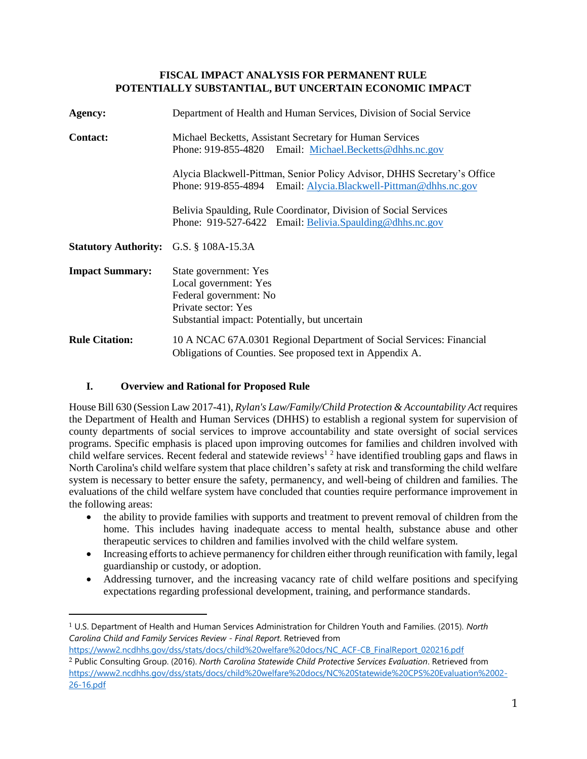### **FISCAL IMPACT ANALYSIS FOR PERMANENT RULE POTENTIALLY SUBSTANTIAL, BUT UNCERTAIN ECONOMIC IMPACT**

| Agency:                                       | Department of Health and Human Services, Division of Social Service                                                                               |
|-----------------------------------------------|---------------------------------------------------------------------------------------------------------------------------------------------------|
| <b>Contact:</b>                               | Michael Becketts, Assistant Secretary for Human Services<br>Phone: 919-855-4820 Email: Michael.Becketts@dhhs.nc.gov                               |
|                                               | Alycia Blackwell-Pittman, Senior Policy Advisor, DHHS Secretary's Office<br>Phone: 919-855-4894 Email: Alycia.Blackwell-Pittman@dhhs.nc.gov       |
|                                               | Belivia Spaulding, Rule Coordinator, Division of Social Services<br>Phone: 919-527-6422 Email: Belivia.Spaulding@dhhs.nc.gov                      |
| <b>Statutory Authority:</b> G.S. § 108A-15.3A |                                                                                                                                                   |
| <b>Impact Summary:</b>                        | State government: Yes<br>Local government: Yes<br>Federal government: No<br>Private sector: Yes<br>Substantial impact: Potentially, but uncertain |
| <b>Rule Citation:</b>                         | 10 A NCAC 67A.0301 Regional Department of Social Services: Financial<br>Obligations of Counties. See proposed text in Appendix A.                 |

# **I. Overview and Rational for Proposed Rule**

 $\overline{a}$ 

House Bill 630 (Session Law 2017-41), *Rylan's Law/Family/Child Protection & Accountability Act* requires the Department of Health and Human Services (DHHS) to establish a regional system for supervision of county departments of social services to improve accountability and state oversight of social services programs. Specific emphasis is placed upon improving outcomes for families and children involved with child welfare services. Recent federal and statewide reviews<sup>1 2</sup> have identified troubling gaps and flaws in North Carolina's child welfare system that place children's safety at risk and transforming the child welfare system is necessary to better ensure the safety, permanency, and well-being of children and families. The evaluations of the child welfare system have concluded that counties require performance improvement in the following areas:

- the ability to provide families with supports and treatment to prevent removal of children from the home. This includes having inadequate access to mental health, substance abuse and other therapeutic services to children and families involved with the child welfare system.
- Increasing efforts to achieve permanency for children either through reunification with family, legal guardianship or custody, or adoption.
- Addressing turnover, and the increasing vacancy rate of child welfare positions and specifying expectations regarding professional development, training, and performance standards.

<sup>1</sup> U.S. Department of Health and Human Services Administration for Children Youth and Families. (2015). *North Carolina Child and Family Services Review - Final Report*. Retrieved from

[https://www2.ncdhhs.gov/dss/stats/docs/child%20welfare%20docs/NC\\_ACF-CB\\_FinalReport\\_020216.pdf](https://www2.ncdhhs.gov/dss/stats/docs/child%20welfare%20docs/NC_ACF-CB_FinalReport_020216.pdf) 2 Public Consulting Group. (2016). *North Carolina Statewide Child Protective Services Evaluation*. Retrieved from [https://www2.ncdhhs.gov/dss/stats/docs/child%20welfare%20docs/NC%20Statewide%20CPS%20Evaluation%2002-](https://www2.ncdhhs.gov/dss/stats/docs/child%20welfare%20docs/NC%20Statewide%20CPS%20Evaluation%2002-26-16.pdf) [26-16.pdf](https://www2.ncdhhs.gov/dss/stats/docs/child%20welfare%20docs/NC%20Statewide%20CPS%20Evaluation%2002-26-16.pdf)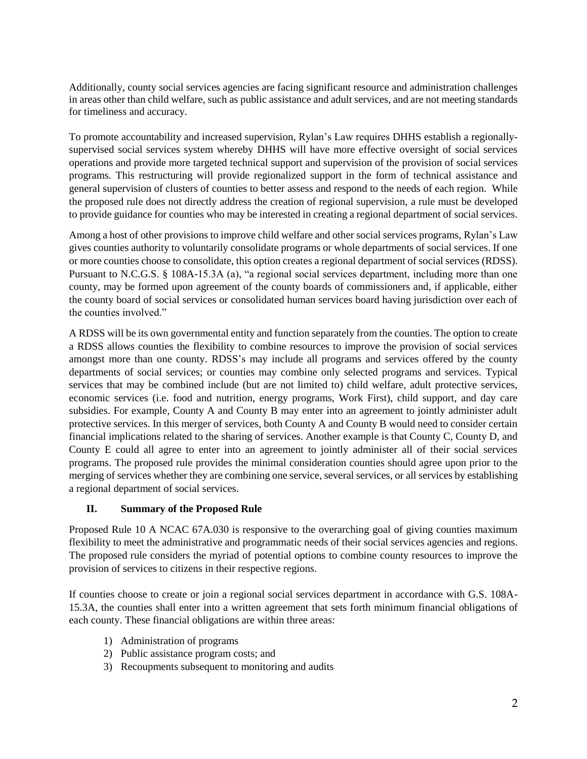Additionally, county social services agencies are facing significant resource and administration challenges in areas other than child welfare, such as public assistance and adult services, and are not meeting standards for timeliness and accuracy.

To promote accountability and increased supervision, Rylan's Law requires DHHS establish a regionallysupervised social services system whereby DHHS will have more effective oversight of social services operations and provide more targeted technical support and supervision of the provision of social services programs. This restructuring will provide regionalized support in the form of technical assistance and general supervision of clusters of counties to better assess and respond to the needs of each region. While the proposed rule does not directly address the creation of regional supervision, a rule must be developed to provide guidance for counties who may be interested in creating a regional department of social services.

Among a host of other provisions to improve child welfare and other social services programs, Rylan's Law gives counties authority to voluntarily consolidate programs or whole departments of social services. If one or more counties choose to consolidate, this option creates a regional department of social services (RDSS). Pursuant to N.C.G.S. § 108A-15.3A (a), "a regional social services department, including more than one county, may be formed upon agreement of the county boards of commissioners and, if applicable, either the county board of social services or consolidated human services board having jurisdiction over each of the counties involved."

A RDSS will be its own governmental entity and function separately from the counties. The option to create a RDSS allows counties the flexibility to combine resources to improve the provision of social services amongst more than one county. RDSS's may include all programs and services offered by the county departments of social services; or counties may combine only selected programs and services. Typical services that may be combined include (but are not limited to) child welfare, adult protective services, economic services (i.e. food and nutrition, energy programs, Work First), child support, and day care subsidies. For example, County A and County B may enter into an agreement to jointly administer adult protective services. In this merger of services, both County A and County B would need to consider certain financial implications related to the sharing of services. Another example is that County C, County D, and County E could all agree to enter into an agreement to jointly administer all of their social services programs. The proposed rule provides the minimal consideration counties should agree upon prior to the merging of services whether they are combining one service, several services, or all services by establishing a regional department of social services.

# **II. Summary of the Proposed Rule**

Proposed Rule 10 A NCAC 67A.030 is responsive to the overarching goal of giving counties maximum flexibility to meet the administrative and programmatic needs of their social services agencies and regions. The proposed rule considers the myriad of potential options to combine county resources to improve the provision of services to citizens in their respective regions.

If counties choose to create or join a regional social services department in accordance with G.S. 108A-15.3A, the counties shall enter into a written agreement that sets forth minimum financial obligations of each county. These financial obligations are within three areas:

- 1) Administration of programs
- 2) Public assistance program costs; and
- 3) Recoupments subsequent to monitoring and audits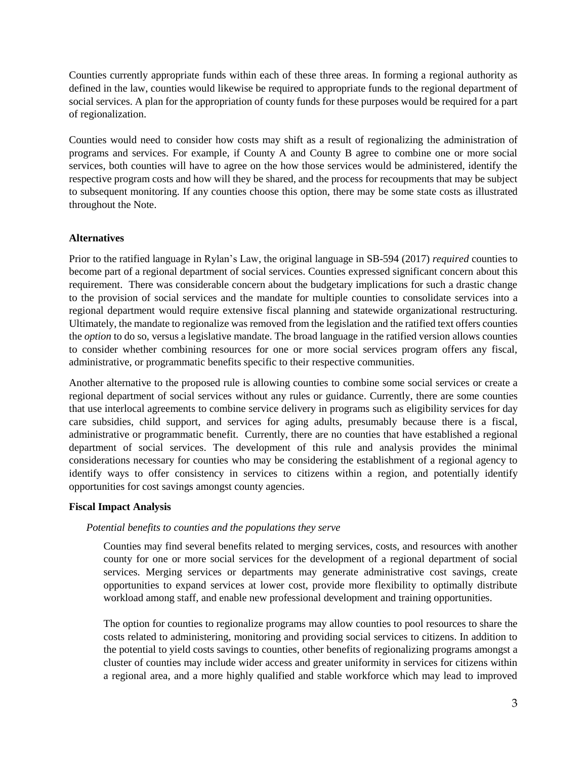Counties currently appropriate funds within each of these three areas. In forming a regional authority as defined in the law, counties would likewise be required to appropriate funds to the regional department of social services. A plan for the appropriation of county funds for these purposes would be required for a part of regionalization.

Counties would need to consider how costs may shift as a result of regionalizing the administration of programs and services. For example, if County A and County B agree to combine one or more social services, both counties will have to agree on the how those services would be administered, identify the respective program costs and how will they be shared, and the process for recoupments that may be subject to subsequent monitoring. If any counties choose this option, there may be some state costs as illustrated throughout the Note.

### **Alternatives**

Prior to the ratified language in Rylan's Law, the original language in SB-594 (2017) *required* counties to become part of a regional department of social services. Counties expressed significant concern about this requirement. There was considerable concern about the budgetary implications for such a drastic change to the provision of social services and the mandate for multiple counties to consolidate services into a regional department would require extensive fiscal planning and statewide organizational restructuring. Ultimately, the mandate to regionalize was removed from the legislation and the ratified text offers counties the *option* to do so, versus a legislative mandate. The broad language in the ratified version allows counties to consider whether combining resources for one or more social services program offers any fiscal, administrative, or programmatic benefits specific to their respective communities.

Another alternative to the proposed rule is allowing counties to combine some social services or create a regional department of social services without any rules or guidance. Currently, there are some counties that use interlocal agreements to combine service delivery in programs such as eligibility services for day care subsidies, child support, and services for aging adults, presumably because there is a fiscal, administrative or programmatic benefit. Currently, there are no counties that have established a regional department of social services. The development of this rule and analysis provides the minimal considerations necessary for counties who may be considering the establishment of a regional agency to identify ways to offer consistency in services to citizens within a region, and potentially identify opportunities for cost savings amongst county agencies.

### **Fiscal Impact Analysis**

### *Potential benefits to counties and the populations they serve*

Counties may find several benefits related to merging services, costs, and resources with another county for one or more social services for the development of a regional department of social services. Merging services or departments may generate administrative cost savings, create opportunities to expand services at lower cost, provide more flexibility to optimally distribute workload among staff, and enable new professional development and training opportunities.

The option for counties to regionalize programs may allow counties to pool resources to share the costs related to administering, monitoring and providing social services to citizens. In addition to the potential to yield costs savings to counties, other benefits of regionalizing programs amongst a cluster of counties may include wider access and greater uniformity in services for citizens within a regional area, and a more highly qualified and stable workforce which may lead to improved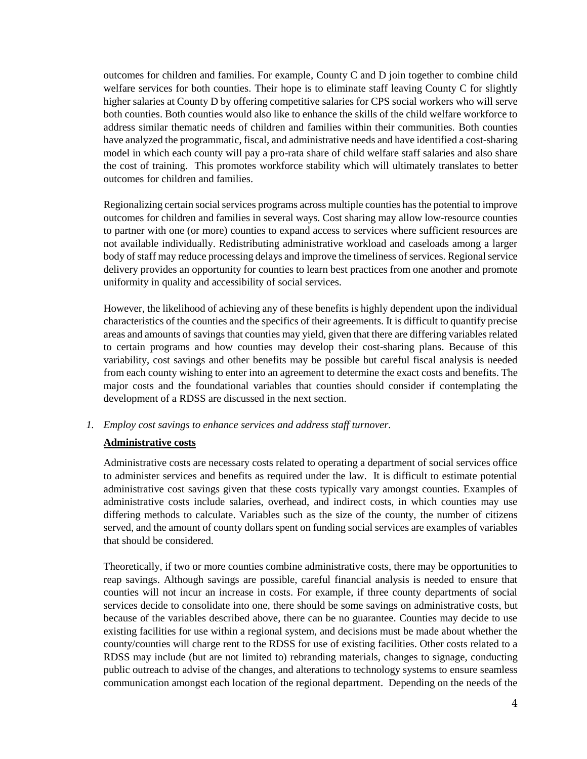outcomes for children and families. For example, County C and D join together to combine child welfare services for both counties. Their hope is to eliminate staff leaving County C for slightly higher salaries at County D by offering competitive salaries for CPS social workers who will serve both counties. Both counties would also like to enhance the skills of the child welfare workforce to address similar thematic needs of children and families within their communities. Both counties have analyzed the programmatic, fiscal, and administrative needs and have identified a cost-sharing model in which each county will pay a pro-rata share of child welfare staff salaries and also share the cost of training. This promotes workforce stability which will ultimately translates to better outcomes for children and families.

Regionalizing certain social services programs across multiple counties has the potential to improve outcomes for children and families in several ways. Cost sharing may allow low-resource counties to partner with one (or more) counties to expand access to services where sufficient resources are not available individually. Redistributing administrative workload and caseloads among a larger body of staff may reduce processing delays and improve the timeliness of services. Regional service delivery provides an opportunity for counties to learn best practices from one another and promote uniformity in quality and accessibility of social services.

However, the likelihood of achieving any of these benefits is highly dependent upon the individual characteristics of the counties and the specifics of their agreements. It is difficult to quantify precise areas and amounts of savings that counties may yield, given that there are differing variables related to certain programs and how counties may develop their cost-sharing plans. Because of this variability, cost savings and other benefits may be possible but careful fiscal analysis is needed from each county wishing to enter into an agreement to determine the exact costs and benefits. The major costs and the foundational variables that counties should consider if contemplating the development of a RDSS are discussed in the next section.

### *1. Employ cost savings to enhance services and address staff turnover.*

### **Administrative costs**

Administrative costs are necessary costs related to operating a department of social services office to administer services and benefits as required under the law. It is difficult to estimate potential administrative cost savings given that these costs typically vary amongst counties. Examples of administrative costs include salaries, overhead, and indirect costs, in which counties may use differing methods to calculate. Variables such as the size of the county, the number of citizens served, and the amount of county dollars spent on funding social services are examples of variables that should be considered.

Theoretically, if two or more counties combine administrative costs, there may be opportunities to reap savings. Although savings are possible, careful financial analysis is needed to ensure that counties will not incur an increase in costs. For example, if three county departments of social services decide to consolidate into one, there should be some savings on administrative costs, but because of the variables described above, there can be no guarantee. Counties may decide to use existing facilities for use within a regional system, and decisions must be made about whether the county/counties will charge rent to the RDSS for use of existing facilities. Other costs related to a RDSS may include (but are not limited to) rebranding materials, changes to signage, conducting public outreach to advise of the changes, and alterations to technology systems to ensure seamless communication amongst each location of the regional department. Depending on the needs of the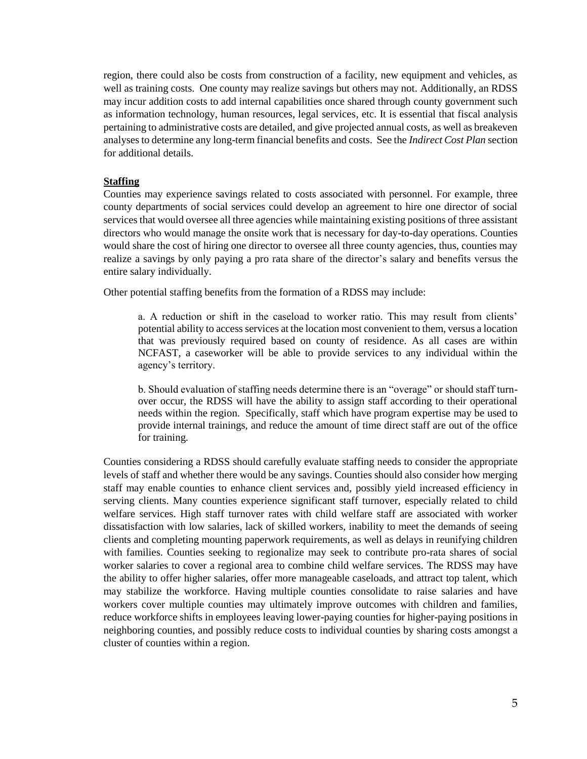region, there could also be costs from construction of a facility, new equipment and vehicles, as well as training costs. One county may realize savings but others may not. Additionally, an RDSS may incur addition costs to add internal capabilities once shared through county government such as information technology, human resources, legal services, etc. It is essential that fiscal analysis pertaining to administrative costs are detailed, and give projected annual costs, as well as breakeven analyses to determine any long-term financial benefits and costs. See the *Indirect Cost Plan* section for additional details.

#### **Staffing**

Counties may experience savings related to costs associated with personnel. For example, three county departments of social services could develop an agreement to hire one director of social services that would oversee all three agencies while maintaining existing positions of three assistant directors who would manage the onsite work that is necessary for day-to-day operations. Counties would share the cost of hiring one director to oversee all three county agencies, thus, counties may realize a savings by only paying a pro rata share of the director's salary and benefits versus the entire salary individually.

Other potential staffing benefits from the formation of a RDSS may include:

a. A reduction or shift in the caseload to worker ratio. This may result from clients' potential ability to access services at the location most convenient to them, versus a location that was previously required based on county of residence. As all cases are within NCFAST, a caseworker will be able to provide services to any individual within the agency's territory.

b. Should evaluation of staffing needs determine there is an "overage" or should staff turnover occur, the RDSS will have the ability to assign staff according to their operational needs within the region. Specifically, staff which have program expertise may be used to provide internal trainings, and reduce the amount of time direct staff are out of the office for training.

Counties considering a RDSS should carefully evaluate staffing needs to consider the appropriate levels of staff and whether there would be any savings. Counties should also consider how merging staff may enable counties to enhance client services and, possibly yield increased efficiency in serving clients. Many counties experience significant staff turnover, especially related to child welfare services. High staff turnover rates with child welfare staff are associated with worker dissatisfaction with low salaries, lack of skilled workers, inability to meet the demands of seeing clients and completing mounting paperwork requirements, as well as delays in reunifying children with families. Counties seeking to regionalize may seek to contribute pro-rata shares of social worker salaries to cover a regional area to combine child welfare services. The RDSS may have the ability to offer higher salaries, offer more manageable caseloads, and attract top talent, which may stabilize the workforce. Having multiple counties consolidate to raise salaries and have workers cover multiple counties may ultimately improve outcomes with children and families, reduce workforce shifts in employees leaving lower-paying counties for higher-paying positions in neighboring counties, and possibly reduce costs to individual counties by sharing costs amongst a cluster of counties within a region.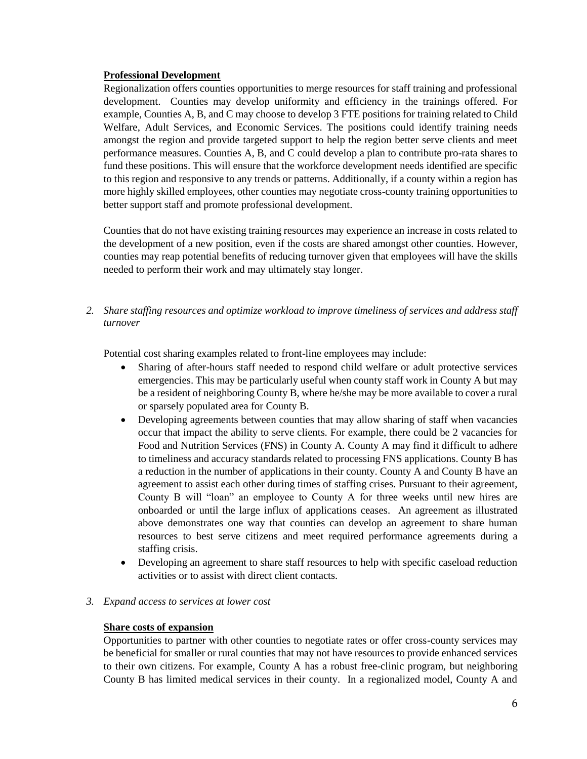### **Professional Development**

Regionalization offers counties opportunities to merge resources for staff training and professional development. Counties may develop uniformity and efficiency in the trainings offered. For example, Counties A, B, and C may choose to develop 3 FTE positions for training related to Child Welfare, Adult Services, and Economic Services. The positions could identify training needs amongst the region and provide targeted support to help the region better serve clients and meet performance measures. Counties A, B, and C could develop a plan to contribute pro-rata shares to fund these positions. This will ensure that the workforce development needs identified are specific to this region and responsive to any trends or patterns. Additionally, if a county within a region has more highly skilled employees, other counties may negotiate cross-county training opportunities to better support staff and promote professional development.

Counties that do not have existing training resources may experience an increase in costs related to the development of a new position, even if the costs are shared amongst other counties. However, counties may reap potential benefits of reducing turnover given that employees will have the skills needed to perform their work and may ultimately stay longer.

*2. Share staffing resources and optimize workload to improve timeliness of services and address staff turnover*

Potential cost sharing examples related to front-line employees may include:

- Sharing of after-hours staff needed to respond child welfare or adult protective services emergencies. This may be particularly useful when county staff work in County A but may be a resident of neighboring County B, where he/she may be more available to cover a rural or sparsely populated area for County B.
- Developing agreements between counties that may allow sharing of staff when vacancies occur that impact the ability to serve clients. For example, there could be 2 vacancies for Food and Nutrition Services (FNS) in County A. County A may find it difficult to adhere to timeliness and accuracy standards related to processing FNS applications. County B has a reduction in the number of applications in their county. County A and County B have an agreement to assist each other during times of staffing crises. Pursuant to their agreement, County B will "loan" an employee to County A for three weeks until new hires are onboarded or until the large influx of applications ceases. An agreement as illustrated above demonstrates one way that counties can develop an agreement to share human resources to best serve citizens and meet required performance agreements during a staffing crisis.
- Developing an agreement to share staff resources to help with specific caseload reduction activities or to assist with direct client contacts.
- *3. Expand access to services at lower cost*

### **Share costs of expansion**

Opportunities to partner with other counties to negotiate rates or offer cross-county services may be beneficial for smaller or rural counties that may not have resources to provide enhanced services to their own citizens. For example, County A has a robust free-clinic program, but neighboring County B has limited medical services in their county. In a regionalized model, County A and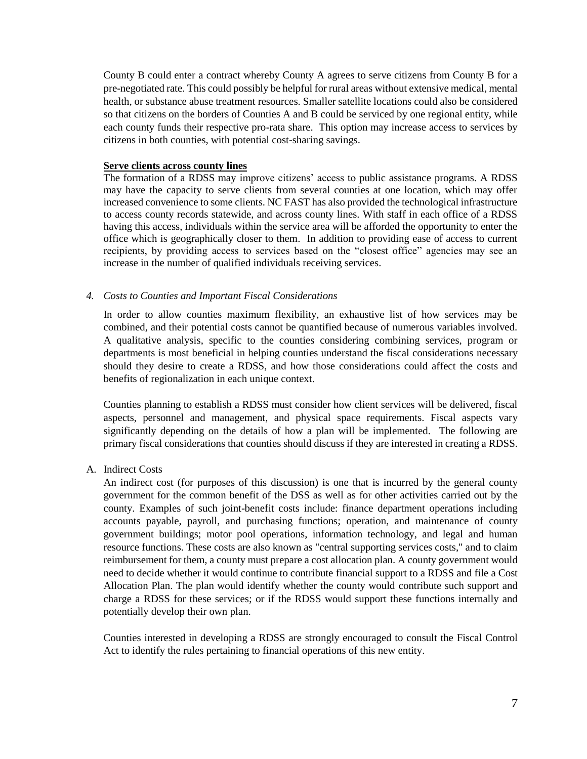County B could enter a contract whereby County A agrees to serve citizens from County B for a pre-negotiated rate. This could possibly be helpful for rural areas without extensive medical, mental health, or substance abuse treatment resources. Smaller satellite locations could also be considered so that citizens on the borders of Counties A and B could be serviced by one regional entity, while each county funds their respective pro-rata share. This option may increase access to services by citizens in both counties, with potential cost-sharing savings.

#### **Serve clients across county lines**

The formation of a RDSS may improve citizens' access to public assistance programs. A RDSS may have the capacity to serve clients from several counties at one location, which may offer increased convenience to some clients. NC FAST has also provided the technological infrastructure to access county records statewide, and across county lines. With staff in each office of a RDSS having this access, individuals within the service area will be afforded the opportunity to enter the office which is geographically closer to them. In addition to providing ease of access to current recipients, by providing access to services based on the "closest office" agencies may see an increase in the number of qualified individuals receiving services.

### *4. Costs to Counties and Important Fiscal Considerations*

In order to allow counties maximum flexibility, an exhaustive list of how services may be combined, and their potential costs cannot be quantified because of numerous variables involved. A qualitative analysis, specific to the counties considering combining services, program or departments is most beneficial in helping counties understand the fiscal considerations necessary should they desire to create a RDSS, and how those considerations could affect the costs and benefits of regionalization in each unique context.

Counties planning to establish a RDSS must consider how client services will be delivered, fiscal aspects, personnel and management, and physical space requirements. Fiscal aspects vary significantly depending on the details of how a plan will be implemented. The following are primary fiscal considerations that counties should discuss if they are interested in creating a RDSS.

A. Indirect Costs

An indirect cost (for purposes of this discussion) is one that is incurred by the general county government for the common benefit of the DSS as well as for other activities carried out by the county. Examples of such joint-benefit costs include: finance department operations including accounts payable, payroll, and purchasing functions; operation, and maintenance of county government buildings; motor pool operations, information technology, and legal and human resource functions. These costs are also known as "central supporting services costs," and to claim reimbursement for them, a county must prepare a cost allocation plan. A county government would need to decide whether it would continue to contribute financial support to a RDSS and file a Cost Allocation Plan. The plan would identify whether the county would contribute such support and charge a RDSS for these services; or if the RDSS would support these functions internally and potentially develop their own plan.

Counties interested in developing a RDSS are strongly encouraged to consult the Fiscal Control Act to identify the rules pertaining to financial operations of this new entity.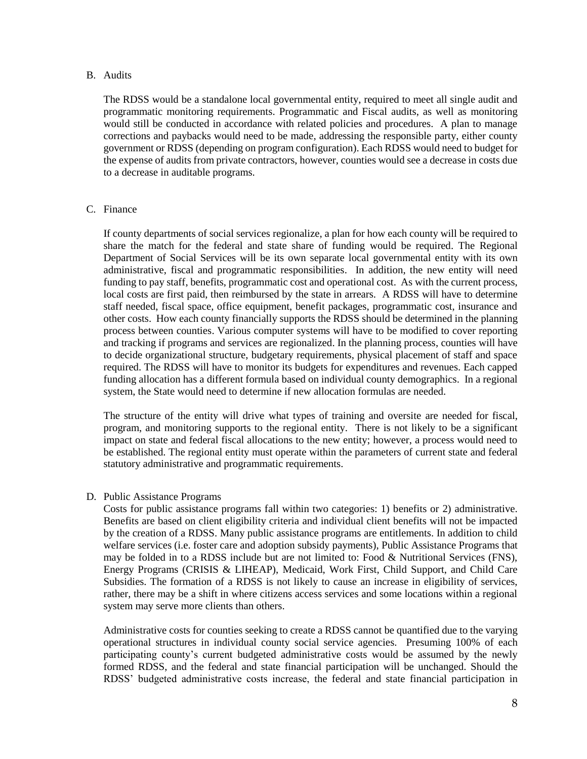#### B. Audits

The RDSS would be a standalone local governmental entity, required to meet all single audit and programmatic monitoring requirements. Programmatic and Fiscal audits, as well as monitoring would still be conducted in accordance with related policies and procedures. A plan to manage corrections and paybacks would need to be made, addressing the responsible party, either county government or RDSS (depending on program configuration). Each RDSS would need to budget for the expense of audits from private contractors, however, counties would see a decrease in costs due to a decrease in auditable programs.

#### C. Finance

If county departments of social services regionalize, a plan for how each county will be required to share the match for the federal and state share of funding would be required. The Regional Department of Social Services will be its own separate local governmental entity with its own administrative, fiscal and programmatic responsibilities. In addition, the new entity will need funding to pay staff, benefits, programmatic cost and operational cost. As with the current process, local costs are first paid, then reimbursed by the state in arrears. A RDSS will have to determine staff needed, fiscal space, office equipment, benefit packages, programmatic cost, insurance and other costs. How each county financially supports the RDSS should be determined in the planning process between counties. Various computer systems will have to be modified to cover reporting and tracking if programs and services are regionalized. In the planning process, counties will have to decide organizational structure, budgetary requirements, physical placement of staff and space required. The RDSS will have to monitor its budgets for expenditures and revenues. Each capped funding allocation has a different formula based on individual county demographics. In a regional system, the State would need to determine if new allocation formulas are needed.

The structure of the entity will drive what types of training and oversite are needed for fiscal, program, and monitoring supports to the regional entity. There is not likely to be a significant impact on state and federal fiscal allocations to the new entity; however, a process would need to be established. The regional entity must operate within the parameters of current state and federal statutory administrative and programmatic requirements.

### D. Public Assistance Programs

Costs for public assistance programs fall within two categories: 1) benefits or 2) administrative. Benefits are based on client eligibility criteria and individual client benefits will not be impacted by the creation of a RDSS. Many public assistance programs are entitlements. In addition to child welfare services (i.e. foster care and adoption subsidy payments), Public Assistance Programs that may be folded in to a RDSS include but are not limited to: Food & Nutritional Services (FNS), Energy Programs (CRISIS & LIHEAP), Medicaid, Work First, Child Support, and Child Care Subsidies. The formation of a RDSS is not likely to cause an increase in eligibility of services, rather, there may be a shift in where citizens access services and some locations within a regional system may serve more clients than others.

Administrative costs for counties seeking to create a RDSS cannot be quantified due to the varying operational structures in individual county social service agencies. Presuming 100% of each participating county's current budgeted administrative costs would be assumed by the newly formed RDSS, and the federal and state financial participation will be unchanged. Should the RDSS' budgeted administrative costs increase, the federal and state financial participation in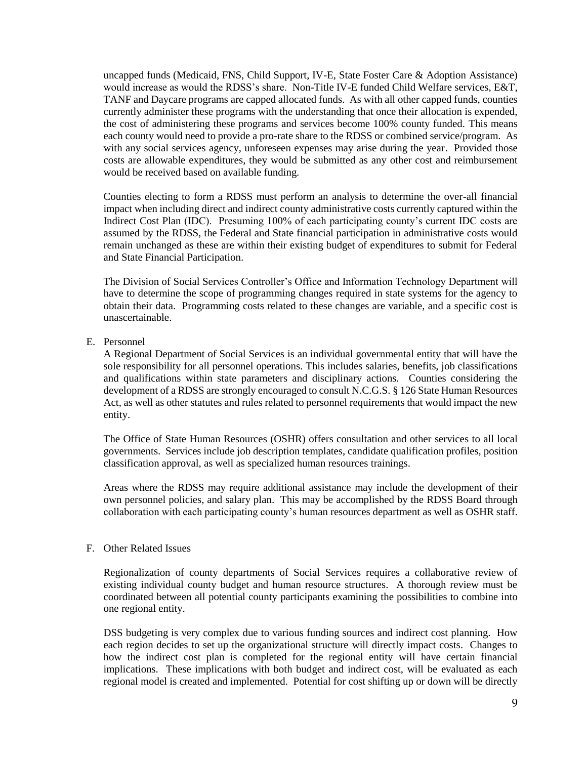uncapped funds (Medicaid, FNS, Child Support, IV-E, State Foster Care & Adoption Assistance) would increase as would the RDSS's share. Non-Title IV-E funded Child Welfare services, E&T, TANF and Daycare programs are capped allocated funds. As with all other capped funds, counties currently administer these programs with the understanding that once their allocation is expended, the cost of administering these programs and services become 100% county funded. This means each county would need to provide a pro-rate share to the RDSS or combined service/program. As with any social services agency, unforeseen expenses may arise during the year. Provided those costs are allowable expenditures, they would be submitted as any other cost and reimbursement would be received based on available funding.

Counties electing to form a RDSS must perform an analysis to determine the over-all financial impact when including direct and indirect county administrative costs currently captured within the Indirect Cost Plan (IDC). Presuming 100% of each participating county's current IDC costs are assumed by the RDSS, the Federal and State financial participation in administrative costs would remain unchanged as these are within their existing budget of expenditures to submit for Federal and State Financial Participation.

The Division of Social Services Controller's Office and Information Technology Department will have to determine the scope of programming changes required in state systems for the agency to obtain their data. Programming costs related to these changes are variable, and a specific cost is unascertainable.

E. Personnel

A Regional Department of Social Services is an individual governmental entity that will have the sole responsibility for all personnel operations. This includes salaries, benefits, job classifications and qualifications within state parameters and disciplinary actions. Counties considering the development of a RDSS are strongly encouraged to consult N.C.G.S. § 126 State Human Resources Act, as well as other statutes and rules related to personnel requirements that would impact the new entity.

The Office of State Human Resources (OSHR) offers consultation and other services to all local governments. Services include job description templates, candidate qualification profiles, position classification approval, as well as specialized human resources trainings.

Areas where the RDSS may require additional assistance may include the development of their own personnel policies, and salary plan. This may be accomplished by the RDSS Board through collaboration with each participating county's human resources department as well as OSHR staff.

#### F. Other Related Issues

Regionalization of county departments of Social Services requires a collaborative review of existing individual county budget and human resource structures. A thorough review must be coordinated between all potential county participants examining the possibilities to combine into one regional entity.

DSS budgeting is very complex due to various funding sources and indirect cost planning. How each region decides to set up the organizational structure will directly impact costs. Changes to how the indirect cost plan is completed for the regional entity will have certain financial implications. These implications with both budget and indirect cost, will be evaluated as each regional model is created and implemented. Potential for cost shifting up or down will be directly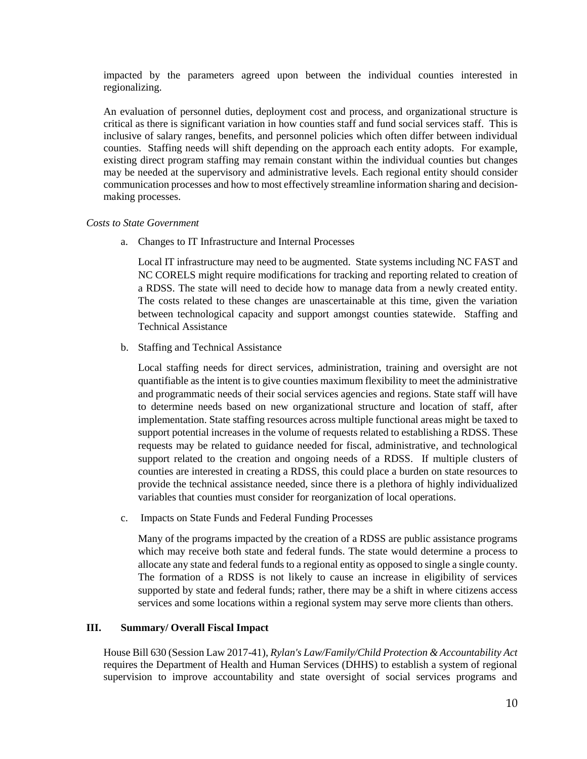impacted by the parameters agreed upon between the individual counties interested in regionalizing.

An evaluation of personnel duties, deployment cost and process, and organizational structure is critical as there is significant variation in how counties staff and fund social services staff. This is inclusive of salary ranges, benefits, and personnel policies which often differ between individual counties. Staffing needs will shift depending on the approach each entity adopts. For example, existing direct program staffing may remain constant within the individual counties but changes may be needed at the supervisory and administrative levels. Each regional entity should consider communication processes and how to most effectively streamline information sharing and decisionmaking processes.

#### *Costs to State Government*

a. Changes to IT Infrastructure and Internal Processes

Local IT infrastructure may need to be augmented. State systems including NC FAST and NC CORELS might require modifications for tracking and reporting related to creation of a RDSS. The state will need to decide how to manage data from a newly created entity. The costs related to these changes are unascertainable at this time, given the variation between technological capacity and support amongst counties statewide. Staffing and Technical Assistance

b. Staffing and Technical Assistance

Local staffing needs for direct services, administration, training and oversight are not quantifiable as the intent is to give counties maximum flexibility to meet the administrative and programmatic needs of their social services agencies and regions. State staff will have to determine needs based on new organizational structure and location of staff, after implementation. State staffing resources across multiple functional areas might be taxed to support potential increases in the volume of requests related to establishing a RDSS. These requests may be related to guidance needed for fiscal, administrative, and technological support related to the creation and ongoing needs of a RDSS. If multiple clusters of counties are interested in creating a RDSS, this could place a burden on state resources to provide the technical assistance needed, since there is a plethora of highly individualized variables that counties must consider for reorganization of local operations.

c. Impacts on State Funds and Federal Funding Processes

Many of the programs impacted by the creation of a RDSS are public assistance programs which may receive both state and federal funds. The state would determine a process to allocate any state and federal funds to a regional entity as opposed to single a single county. The formation of a RDSS is not likely to cause an increase in eligibility of services supported by state and federal funds; rather, there may be a shift in where citizens access services and some locations within a regional system may serve more clients than others.

### **III. Summary/ Overall Fiscal Impact**

House Bill 630 (Session Law 2017-41), *Rylan's Law/Family/Child Protection & Accountability Act* requires the Department of Health and Human Services (DHHS) to establish a system of regional supervision to improve accountability and state oversight of social services programs and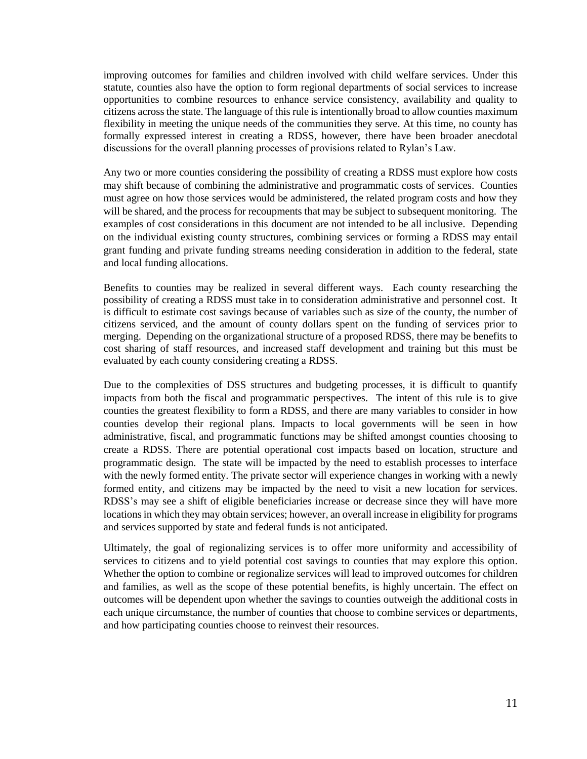improving outcomes for families and children involved with child welfare services. Under this statute, counties also have the option to form regional departments of social services to increase opportunities to combine resources to enhance service consistency, availability and quality to citizens across the state. The language of this rule is intentionally broad to allow counties maximum flexibility in meeting the unique needs of the communities they serve. At this time, no county has formally expressed interest in creating a RDSS, however, there have been broader anecdotal discussions for the overall planning processes of provisions related to Rylan's Law.

Any two or more counties considering the possibility of creating a RDSS must explore how costs may shift because of combining the administrative and programmatic costs of services. Counties must agree on how those services would be administered, the related program costs and how they will be shared, and the process for recoupments that may be subject to subsequent monitoring. The examples of cost considerations in this document are not intended to be all inclusive. Depending on the individual existing county structures, combining services or forming a RDSS may entail grant funding and private funding streams needing consideration in addition to the federal, state and local funding allocations.

Benefits to counties may be realized in several different ways. Each county researching the possibility of creating a RDSS must take in to consideration administrative and personnel cost. It is difficult to estimate cost savings because of variables such as size of the county, the number of citizens serviced, and the amount of county dollars spent on the funding of services prior to merging. Depending on the organizational structure of a proposed RDSS, there may be benefits to cost sharing of staff resources, and increased staff development and training but this must be evaluated by each county considering creating a RDSS.

Due to the complexities of DSS structures and budgeting processes, it is difficult to quantify impacts from both the fiscal and programmatic perspectives. The intent of this rule is to give counties the greatest flexibility to form a RDSS, and there are many variables to consider in how counties develop their regional plans. Impacts to local governments will be seen in how administrative, fiscal, and programmatic functions may be shifted amongst counties choosing to create a RDSS. There are potential operational cost impacts based on location, structure and programmatic design. The state will be impacted by the need to establish processes to interface with the newly formed entity. The private sector will experience changes in working with a newly formed entity, and citizens may be impacted by the need to visit a new location for services. RDSS's may see a shift of eligible beneficiaries increase or decrease since they will have more locations in which they may obtain services; however, an overall increase in eligibility for programs and services supported by state and federal funds is not anticipated.

Ultimately, the goal of regionalizing services is to offer more uniformity and accessibility of services to citizens and to yield potential cost savings to counties that may explore this option. Whether the option to combine or regionalize services will lead to improved outcomes for children and families, as well as the scope of these potential benefits, is highly uncertain. The effect on outcomes will be dependent upon whether the savings to counties outweigh the additional costs in each unique circumstance, the number of counties that choose to combine services or departments, and how participating counties choose to reinvest their resources.